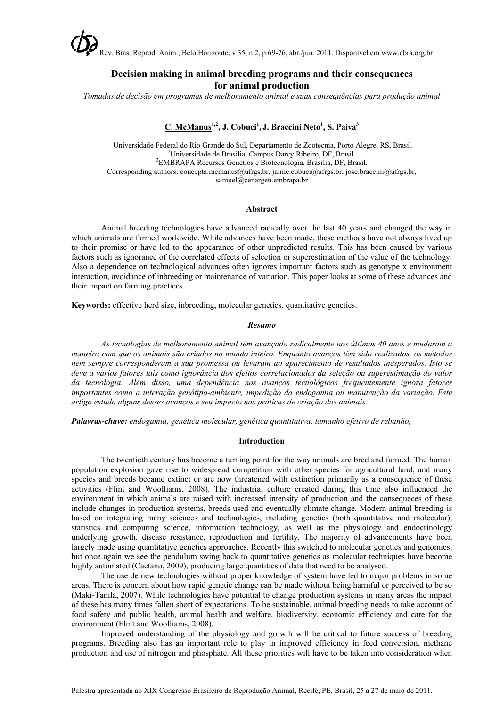

# **Decision making in animal breeding programs and their consequences for animal production**

*Tomadas de decisão em programas de melhoramento animal e suas consequências para produção animal*

## **C. McManus1,2, J. Cobuci1 , J. Braccini Neto<sup>1</sup> , S. Paiva<sup>3</sup>**

<sup>1</sup>Universidade Federal do Rio Grande do Sul, Departamento de Zootecnia, Porto Alegre, RS, Brasil. <sup>2</sup>Universidade de Presilia, Compus Derey Pibeiro, DE, Presil. Universidade de Brasilia, Campus Darcy Ribeiro, DF, Brasil. <sup>3</sup> EMBRAPA Recursos Genétios e Biotecnologia, Brasilia, DF, Brasil. Corresponding authors: concepta.mcmanus@ufrgs.br, jaime.cobuci@ufrgs.br, jose.braccini@ufrgs.br, samuel@cenargen.embrapa.br

#### **Abstract**

Animal breeding technologies have advanced radically over the last 40 years and changed the way in which animals are farmed worldwide. While advances have been made, these methods have not always lived up to their promise or have led to the appearance of other unpredicted results. This has been caused by various factors such as ignorance of the correlated effects of selection or superestimation of the value of the technology. Also a dependence on technological advances often ignores important factors such as genotype x environment interaction, avoidance of inbreeding or maintenance of variation. This paper looks at some of these advances and their impact on farming practices.

**Keywords:** effective herd size, inbreeding, molecular genetics, quantitative genetics.

#### *Resumo*

*As tecnologias de melhoramento animal têm avançado radicalmente nos últimos 40 anos e mudaram a maneira com que os animais são criados no mundo inteiro. Enquanto avanços têm sido realizados, os métodos nem sempre corresponderam a sua promessa ou levaram ao aparecimento de resultados inesperados. Isto se deve a vários fatores tais como ignorância dos efeitos correlacionados da seleção ou superestimação do valor da tecnologia. Além disso, uma dependência nos avanços tecnológicos frequentemente ignora fatores importantes como a interação genótipo-ambiente, impedição da endogamia ou manutenção da variação. Este artigo estuda alguns desses avanços e seu impacto nas práticas de criação dos animais.*

*Palavras-chave: endogamia, genética molecular, genética quantitativa, tamanho efetivo de rebanho,*

#### **Introduction**

The twentieth century has become a turning point for the way animals are bred and farmed. The human population explosion gave rise to widespread competition with other species for agricultural land, and many species and breeds became extinct or are now threatened with extinction primarily as a consequence of these activities (Flint and Woolliams, 2008). The industrial culture created during this time also influenced the environment in which animals are raised with increased intensity of production and the consequeces of these include changes in production systems, breeds used and eventually climate change. Modern animal breeding is based on integrating many sciences and technologies, including genetics (both quantitative and molecular), statistics and computing science, information technology, as well as the physiology and endocrinology underlying growth, disease resistance, reproduction and fertility. The majority of advancements have been largely made using quantitative genetics approaches. Recently this switched to molecular genetics and genomics, but once again we see the pendulum swing back to quantitative genetics as molecular techniques have become highly automated (Caetano, 2009), producing large quantities of data that need to be analysed.

The use de new technologies without proper knowledge of system have led to major problems in some areas. There is concern about how rapid genetic change can be made without being harmful or perceived to be so (Maki-Tanila, 2007). While technologies have potential to change production systems in many areas the impact of these has many times fallen short of expectations. To be sustainable, animal breeding needs to take account of food safety and public health, animal health and welfare, biodiversity, economic efficiency and care for the environment (Flint and Woolliams, 2008).

Improved understanding of the physiology and growth will be critical to future success of breeding programs. Breeding also has an important role to play in improved efficiency in feed conversion, methane production and use of nitrogen and phosphate. All these priorities will have to be taken into consideration when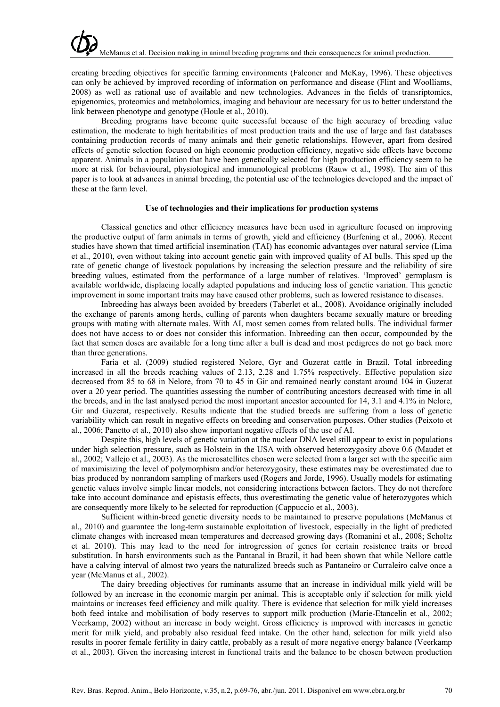creating breeding objectives for specific farming environments (Falconer and McKay, 1996). These objectives can only be achieved by improved recording of information on performance and disease (Flint and Woolliams, 2008) as well as rational use of available and new technologies. Advances in the fields of transriptomics, epigenomics, proteomics and metabolomics, imaging and behaviour are necessary for us to better understand the link between phenotype and genotype (Houle et al., 2010).

Breeding programs have become quite successful because of the high accuracy of breeding value estimation, the moderate to high heritabilities of most production traits and the use of large and fast databases containing production records of many animals and their genetic relationships. However, apart from desired effects of genetic selection focused on high economic production efficiency, negative side effects have become apparent. Animals in a population that have been genetically selected for high production efficiency seem to be more at risk for behavioural, physiological and immunological problems (Rauw et al., 1998). The aim of this paper is to look at advances in animal breeding, the potential use of the technologies developed and the impact of these at the farm level.

#### **Use of technologies and their implications for production systems**

Classical genetics and other efficiency measures have been used in agriculture focused on improving the productive output of farm animals in terms of growth, yield and efficiency (Burfening et al., 2006). Recent studies have shown that timed artificial insemination (TAI) has economic advantages over natural service (Lima et al., 2010), even without taking into account genetic gain with improved quality of AI bulls. This sped up the rate of genetic change of livestock populations by increasing the selection pressure and the reliability of sire breeding values, estimated from the performance of a large number of relatives. 'Improved' germplasm is available worldwide, displacing locally adapted populations and inducing loss of genetic variation. This genetic improvement in some important traits may have caused other problems, such as lowered resistance to diseases.

Inbreeding has always been avoided by breeders (Taberlet et al., 2008). Avoidance originally included the exchange of parents among herds, culling of parents when daughters became sexually mature or breeding groups with mating with alternate males. With AI, most semen comes from related bulls. The individual farmer does not have access to or does not consider this information. Inbreeding can then occur, compounded by the fact that semen doses are available for a long time after a bull is dead and most pedigrees do not go back more than three generations.

Faria et al. (2009) studied registered Nelore, Gyr and Guzerat cattle in Brazil. Total inbreeding increased in all the breeds reaching values of 2.13, 2.28 and 1.75% respectively. Effective population size decreased from 85 to 68 in Nelore, from 70 to 45 in Gir and remained nearly constant around 104 in Guzerat over a 20 year period. The quantities assessing the number of contributing ancestors decreased with time in all the breeds, and in the last analysed period the most important ancestor accounted for 14, 3.1 and 4.1% in Nelore, Gir and Guzerat, respectively. Results indicate that the studied breeds are suffering from a loss of genetic variability which can result in negative effects on breeding and conservation purposes. Other studies (Peixoto et al., 2006; Panetto et al., 2010) also show important negative effects of the use of AI.

Despite this, high levels of genetic variation at the nuclear DNA level still appear to exist in populations under high selection pressure, such as Holstein in the USA with observed heterozygosity above 0.6 (Maudet et al., 2002; Vallejo et al., 2003). As the microsatellites chosen were selected from a larger set with the specific aim of maximisizing the level of polymorphism and/or heterozygosity, these estimates may be overestimated due to bias produced by nonrandom sampling of markers used (Rogers and Jorde, 1996). Usually models for estimating genetic values involve simple linear models, not considering interactions between factors. They do not therefore take into account dominance and epistasis effects, thus overestimating the genetic value of heterozygotes which are consequently more likely to be selected for reproduction (Cappuccio et al., 2003).

Sufficient within-breed genetic diversity needs to be maintained to preserve populations (McManus et al., 2010) and guarantee the long-term sustainable exploitation of livestock, especially in the light of predicted climate changes with increased mean temperatures and decreased growing days (Romanini et al., 2008; Scholtz et al. 2010). This may lead to the need for introgression of genes for certain resistence traits or breed substitution. In harsh environments such as the Pantanal in Brazil, it had been shown that while Nellore cattle have a calving interval of almost two years the naturalized breeds such as Pantaneiro or Curraleiro calve once a year (McManus et al., 2002).

The dairy breeding objectives for ruminants assume that an increase in individual milk yield will be followed by an increase in the economic margin per animal. This is acceptable only if selection for milk yield maintains or increases feed efficiency and milk quality. There is evidence that selection for milk yield increases both feed intake and mobilisation of body reserves to support milk production (Marie-Etancelin et al., 2002; Veerkamp, 2002) without an increase in body weight. Gross efficiency is improved with increases in genetic merit for milk yield, and probably also residual feed intake. On the other hand, selection for milk yield also results in poorer female fertility in dairy cattle, probably as a result of more negative energy balance (Veerkamp et al., 2003). Given the increasing interest in functional traits and the balance to be chosen between production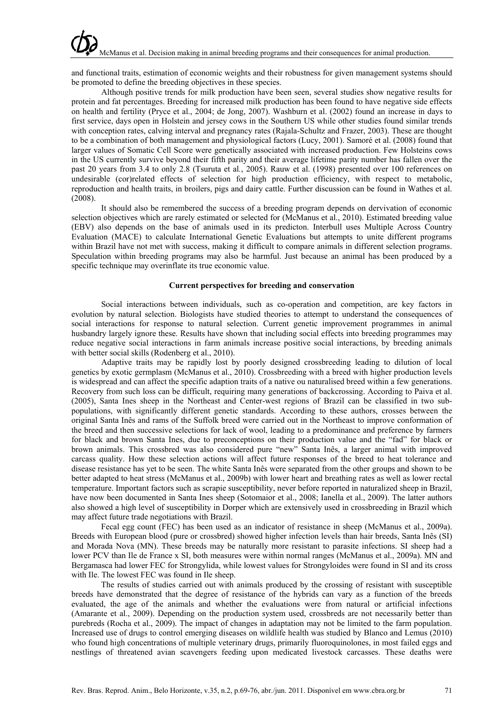and functional traits, estimation of economic weights and their robustness for given management systems should be promoted to define the breeding objectives in these species.

Although positive trends for milk production have been seen, several studies show negative results for protein and fat percentages. Breeding for increased milk production has been found to have negative side effects on health and fertility (Pryce et al., 2004; de Jong, 2007). Washburn et al. (2002) found an increase in days to first service, days open in Holstein and jersey cows in the Southern US while other studies found similar trends with conception rates, calving interval and pregnancy rates (Rajala-Schultz and Frazer, 2003). These are thought to be a combination of both management and physiological factors (Lucy, 2001). Samoré et al. (2008) found that larger values of Somatic Cell Score were genetically associated with increased production. Few Holsteins cows in the US currently survive beyond their fifth parity and their average lifetime parity number has fallen over the past 20 years from 3.4 to only 2.8 (Tsuruta et al*.*, 2005). Rauw et al. (1998) presented over 100 references on undesirable (cor)related effects of selection for high production efficiency, with respect to metabolic, reproduction and health traits, in broilers, pigs and dairy cattle. Further discussion can be found in Wathes et al.  $(2008)$ .

It should also be remembered the success of a breeding program depends on dervivation of economic selection objectives which are rarely estimated or selected for (McManus et al., 2010). Estimated breeding value (EBV) also depends on the base of animals used in its predicton. Interbull uses Multiple Across Country Evaluation (MACE) to calculate International Genetic Evaluations but attempts to unite different programs within Brazil have not met with success, making it difficult to compare animals in different selection programs. Speculation within breeding programs may also be harmful. Just because an animal has been produced by a specific technique may overinflate its true economic value.

### **Current perspectives for breeding and conservation**

Social interactions between individuals, such as co-operation and competition, are key factors in evolution by natural selection. Biologists have studied theories to attempt to understand the consequences of social interactions for response to natural selection. Current genetic improvement programmes in animal husbandry largely ignore these. Results have shown that including social effects into breeding programmes may reduce negative social interactions in farm animals increase positive social interactions, by breeding animals with better social skills (Rodenberg et al., 2010).

Adaptive traits may be rapidly lost by poorly designed crossbreeding leading to dilution of local genetics by exotic germplasm (McManus et al., 2010). Crossbreeding with a breed with higher production levels is widespread and can affect the specific adaption traits of a native ou naturalised breed within a few generations. Recovery from such loss can be difficult, requiring many generations of backcrossing. According to Paiva et al. (2005), Santa Ines sheep in the Northeast and Center-west regions of Brazil can be classified in two subpopulations, with significantly different genetic standards. According to these authors, crosses between the original Santa Inês and rams of the Suffolk breed were carried out in the Northeast to improve conformation of the breed and then successive selections for lack of wool, leading to a predominance and preference by farmers for black and brown Santa Ines, due to preconceptions on their production value and the "fad" for black or brown animals. This crossbred was also considered pure "new" Santa Inês, a larger animal with improved carcass quality. How these selection actions will affect future responses of the breed to heat tolerance and disease resistance has yet to be seen. The white Santa Inês were separated from the other groups and shown to be better adapted to heat stress (McManus et al., 2009b) with lower heart and breathing rates as well as lower rectal temperature. Important factors such as scrapie susceptibility, never before reported in naturalized sheep in Brazil, have now been documented in Santa Ines sheep (Sotomaior et al., 2008; Ianella et al., 2009). The latter authors also showed a high level of susceptibility in Dorper which are extensively used in crossbreeding in Brazil which may affect future trade negotiations with Brazil.

Fecal egg count (FEC) has been used as an indicator of resistance in sheep (McManus et al., 2009a). Breeds with European blood (pure or crossbred) showed higher infection levels than hair breeds, Santa Inês (SI) and Morada Nova (MN). These breeds may be naturally more resistant to parasite infections. SI sheep had a lower PCV than Ile de France x SI, both measures were within normal ranges (McManus et al., 2009a). MN and Bergamasca had lower FEC for Strongylida, while lowest values for Strongyloides were found in SI and its cross with Ile. The lowest FEC was found in Ile sheep.

The results of studies carried out with animals produced by the crossing of resistant with susceptible breeds have demonstrated that the degree of resistance of the hybrids can vary as a function of the breeds evaluated, the age of the animals and whether the evaluations were from natural or artificial infections (Amarante et al., 2009). Depending on the production system used, crossbreds are not necessarily better than purebreds (Rocha et al., 2009). The impact of changes in adaptation may not be limited to the farm population. Increased use of drugs to control emerging diseases on wildlife health was studied by Blanco and Lemus (2010) who found high concentrations of multiple veterinary drugs, primarily fluoroquinolones, in most failed eggs and nestlings of threatened avian scavengers feeding upon medicated livestock carcasses. These deaths were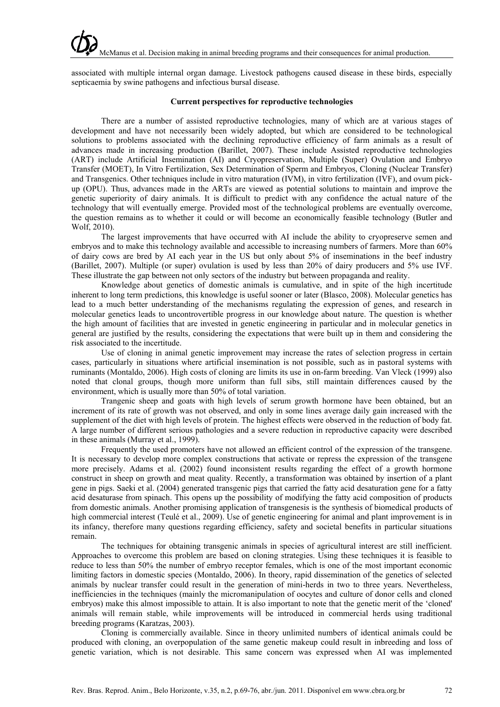associated with multiple internal organ damage. Livestock pathogens caused disease in these birds, especially septicaemia by swine pathogens and infectious bursal disease.

## **Current perspectives for reproductive technologies**

There are a number of assisted reproductive technologies, many of which are at various stages of development and have not necessarily been widely adopted, but which are considered to be technological solutions to problems associated with the declining reproductive efficiency of farm animals as a result of advances made in increasing production (Barillet, 2007). These include Assisted reproductive technologies (ART) include Artificial Insemination (AI) and Cryopreservation, Multiple (Super) Ovulation and Embryo Transfer (MOET), In Vitro Fertilization, Sex Determination of Sperm and Embryos, Cloning (Nuclear Transfer) and Transgenics. Other techniques include in vitro maturation (IVM), in vitro fertilization (IVF), and ovum pickup (OPU). Thus, advances made in the ARTs are viewed as potential solutions to maintain and improve the genetic superiority of dairy animals. It is difficult to predict with any confidence the actual nature of the technology that will eventually emerge. Provided most of the technological problems are eventually overcome, the question remains as to whether it could or will become an economically feasible technology (Butler and Wolf, 2010).

The largest improvements that have occurred with AI include the ability to cryopreserve semen and embryos and to make this technology available and accessible to increasing numbers of farmers. More than 60% of dairy cows are bred by AI each year in the US but only about 5% of inseminations in the beef industry (Barillet, 2007). Multiple (or super) ovulation is used by less than 20% of dairy producers and 5% use IVF. These illustrate the gap between not only sectors of the industry but between propaganda and reality.

Knowledge about genetics of domestic animals is cumulative, and in spite of the high incertitude inherent to long term predictions, this knowledge is useful sooner or later (Blasco, 2008). Molecular genetics has lead to a much better understanding of the mechanisms regulating the expression of genes, and research in molecular genetics leads to uncontrovertible progress in our knowledge about nature. The question is whether the high amount of facilities that are invested in genetic engineering in particular and in molecular genetics in general are justified by the results, considering the expectations that were built up in them and considering the risk associated to the incertitude.

Use of cloning in animal genetic improvement may increase the rates of selection progress in certain cases, particularly in situations where artificial insemination is not possible, such as in pastoral systems with ruminants (Montaldo, 2006). High costs of cloning are limits its use in on-farm breeding. Van Vleck (1999) also noted that clonal groups, though more uniform than full sibs, still maintain differences caused by the environment, which is usually more than 50% of total variation.

Trangenic sheep and goats with high levels of serum growth hormone have been obtained, but an increment of its rate of growth was not observed, and only in some lines average daily gain increased with the supplement of the diet with high levels of protein. The highest effects were observed in the reduction of body fat. A large number of different serious pathologies and a severe reduction in reproductive capacity were described in these animals (Murray et al., 1999).

Frequently the used promoters have not allowed an efficient control of the expression of the transgene. It is necessary to develop more complex constructions that activate or repress the expression of the transgene more precisely. Adams et al. (2002) found inconsistent results regarding the effect of a growth hormone construct in sheep on growth and meat quality. Recently, a transformation was obtained by insertion of a plant gene in pigs. Saeki et al. (2004) generated transgenic pigs that carried the fatty acid desaturation gene for a fatty acid desaturase from spinach. This opens up the possibility of modifying the fatty acid composition of products from domestic animals. Another promising application of transgenesis is the synthesis of biomedical products of high commercial interest (Teulé et al., 2009). Use of genetic engineering for animal and plant improvement is in its infancy, therefore many questions regarding efficiency, safety and societal benefits in particular situations remain.

The techniques for obtaining transgenic animals in species of agricultural interest are still inefficient. Approaches to overcome this problem are based on cloning strategies. Using these techniques it is feasible to reduce to less than 50% the number of embryo receptor females, which is one of the most important economic limiting factors in domestic species (Montaldo, 2006). In theory, rapid dissemination of the genetics of selected animals by nuclear transfer could result in the generation of mini-herds in two to three years. Nevertheless, inefficiencies in the techniques (mainly the micromanipulation of oocytes and culture of donor cells and cloned embryos) make this almost impossible to attain. It is also important to note that the genetic merit of the 'cloned' animals will remain stable, while improvements will be introduced in commercial herds using traditional breeding programs (Karatzas, 2003).

Cloning is commercially available. Since in theory unlimited numbers of identical animals could be produced with cloning, an overpopulation of the same genetic makeup could result in inbreeding and loss of genetic variation, which is not desirable. This same concern was expressed when AI was implemented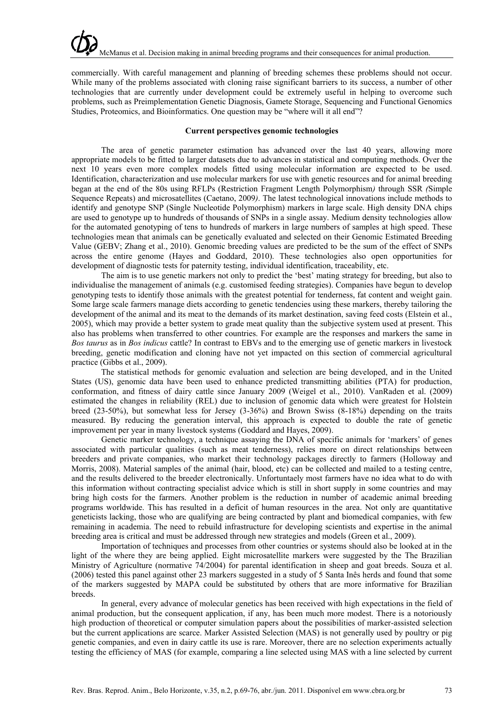commercially. With careful management and planning of breeding schemes these problems should not occur. While many of the problems associated with cloning raise significant barriers to its success, a number of other technologies that are currently under development could be extremely useful in helping to overcome such problems, such as Preimplementation Genetic Diagnosis, Gamete Storage, Sequencing and Functional Genomics Studies, Proteomics, and Bioinformatics. One question may be "where will it all end"?

#### **Current perspectives genomic technologies**

The area of genetic parameter estimation has advanced over the last 40 years, allowing more appropriate models to be fitted to larger datasets due to advances in statistical and computing methods. Over the next 10 years even more complex models fitted using molecular information are expected to be used. Identification, characterization and use molecular markers for use with genetic resources and for animal breeding began at the end of the 80s using RFLPs (Restriction Fragment Length Polymorphism*)* through SSR *(*Simple Sequence Repeats) and microsatellites (Caetano, 2009*)*. The latest technological innovations include methods to identify and genotype SNP (Single Nucleotide Polymorphism) markers in large scale. High density DNA chips are used to genotype up to hundreds of thousands of SNPs in a single assay. Medium density technologies allow for the automated genotyping of tens to hundreds of markers in large numbers of samples at high speed. These technologies mean that animals can be genetically evaluated and selected on their Genomic Estimated Breeding Value (GEBV; Zhang et al., 2010). Genomic breeding values are predicted to be the sum of the effect of SNPs across the entire genome (Hayes and Goddard, 2010). These technologies also open opportunities for development of diagnostic tests for paternity testing, individual identification, traceability, etc.

The aim is to use genetic markers not only to predict the 'best' mating strategy for breeding, but also to individualise the management of animals (e.g. customised feeding strategies). Companies have begun to develop genotyping tests to identify those animals with the greatest potential for tenderness, fat content and weight gain. Some large scale farmers manage diets according to genetic tendencies using these markers, thereby tailoring the development of the animal and its meat to the demands of its market destination, saving feed costs (Elstein et al., 2005), which may provide a better system to grade meat quality than the subjective system used at present. This also has problems when transferred to other countries. For example are the responses and markers the same in *Bos taurus* as in *Bos indicus* cattle? In contrast to EBVs and to the emerging use of genetic markers in livestock breeding, genetic modification and cloning have not yet impacted on this section of commercial agricultural practice (Gibbs et al., 2009).

The statistical methods for genomic evaluation and selection are being developed, and in the United States (US), genomic data have been used to enhance predicted transmitting abilities (PTA) for production, conformation, and fitness of dairy cattle since January 2009 (Weigel et al., 2010). VanRaden et al. (2009) estimated the changes in reliability (REL) due to inclusion of genomic data which were greatest for Holstein breed (23-50%), but somewhat less for Jersey (3-36%) and Brown Swiss (8-18%) depending on the traits measured. By reducing the generation interval, this approach is expected to double the rate of genetic improvement per year in many livestock systems (Goddard and Hayes, 2009).

Genetic marker technology, a technique assaying the DNA of specific animals for 'markers' of genes associated with particular qualities (such as meat tenderness), relies more on direct relationships between breeders and private companies, who market their technology packages directly to farmers (Holloway and Morris, 2008). Material samples of the animal (hair, blood, etc) can be collected and mailed to a testing centre, and the results delivered to the breeder electronically. Unfortuntaely most farmers have no idea what to do with this information without contracting specialist advice which is still in short supply in some countries and may bring high costs for the farmers. Another problem is the reduction in number of academic animal breeding programs worldwide. This has resulted in a deficit of human resources in the area. Not only are quantitative geneticists lacking, those who are qualifying are being contracted by plant and biomedical companies, with few remaining in academia. The need to rebuild infrastructure for developing scientists and expertise in the animal breeding area is critical and must be addressed through new strategies and models (Green et al., 2009).

Importation of techniques and processes from other countries or systems should also be looked at in the light of the where they are being applied. Eight microsatellite markers were suggested by the The Brazilian Ministry of Agriculture (normative 74/2004) for parental identification in sheep and goat breeds. Souza et al. (2006) tested this panel against other 23 markers suggested in a study of 5 Santa Inês herds and found that some of the markers suggested by MAPA could be substituted by others that are more informative for Brazilian **breeds** 

In general, every advance of molecular genetics has been received with high expectations in the field of animal production, but the consequent application, if any, has been much more modest. There is a notoriously high production of theoretical or computer simulation papers about the possibilities of marker-assisted selection but the current applications are scarce. Marker Assisted Selection (MAS) is not generally used by poultry or pig genetic companies, and even in dairy cattle its use is rare. Moreover, there are no selection experiments actually testing the efficiency of MAS (for example, comparing a line selected using MAS with a line selected by current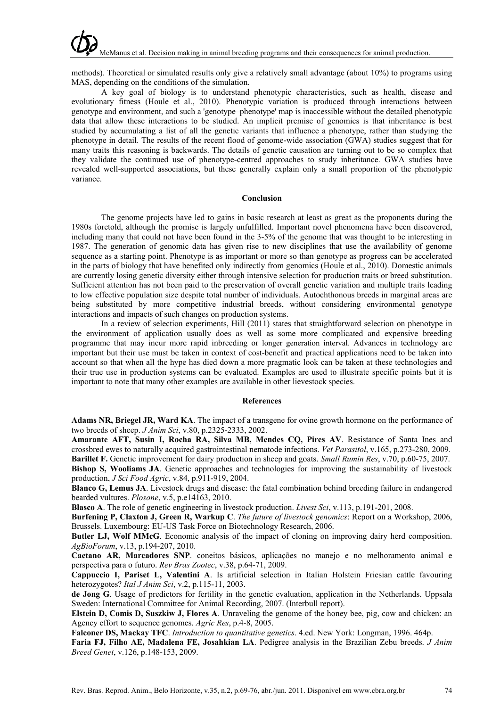methods). Theoretical or simulated results only give a relatively small advantage (about 10%) to programs using MAS, depending on the conditions of the simulation.

A key goal of biology is to understand phenotypic characteristics, such as health, disease and evolutionary fitness (Houle et al., 2010). Phenotypic variation is produced through interactions between genotype and environment, and such a 'genotype–phenotype' map is inaccessible without the detailed phenotypic data that allow these interactions to be studied. An implicit premise of genomics is that inheritance is best studied by accumulating a list of all the genetic variants that influence a phenotype, rather than studying the phenotype in detail. The results of the recent flood of genome-wide association (GWA) studies suggest that for many traits this reasoning is backwards. The details of genetic causation are turning out to be so complex that they validate the continued use of phenotype-centred approaches to study inheritance. GWA studies have revealed well-supported associations, but these generally explain only a small proportion of the phenotypic variance.

#### **Conclusion**

The genome projects have led to gains in basic research at least as great as the proponents during the 1980s foretold, although the promise is largely unfulfilled. Important novel phenomena have been discovered, including many that could not have been found in the 3-5% of the genome that was thought to be interesting in 1987. The generation of genomic data has given rise to new disciplines that use the availability of genome sequence as a starting point. Phenotype is as important or more so than genotype as progress can be accelerated in the parts of biology that have benefited only indirectly from genomics (Houle et al., 2010). Domestic animals are currently losing genetic diversity either through intensive selection for production traits or breed substitution. Sufficient attention has not been paid to the preservation of overall genetic variation and multiple traits leading to low effective population size despite total number of individuals. Autochthonous breeds in marginal areas are being substituted by more competitive industrial breeds, without considering environmental genotype interactions and impacts of such changes on production systems.

In a review of selection experiments, Hill (2011) states that straightforward selection on phenotype in the environment of application usually does as well as some more complicated and expensive breeding programme that may incur more rapid inbreeding or longer generation interval. Advances in technology are important but their use must be taken in context of cost-benefit and practical applications need to be taken into account so that when all the hype has died down a more pragmatic look can be taken at these technologies and their true use in production systems can be evaluated. Examples are used to illustrate specific points but it is important to note that many other examples are available in other lievestock species.

### **References**

**Adams NR, Briegel JR, Ward KA**. The impact of a transgene for ovine growth hormone on the performance of two breeds of sheep. *J Anim Sci*, v.80, p.2325-2333, 2002.

**Amarante AFT, Susin I, Rocha RA, Silva MB, Mendes CQ, Pires AV**. Resistance of Santa Ines and crossbred ewes to naturally acquired gastrointestinal nematode infections. *Vet Parasitol*, v.165, p.273-280, 2009. **Barillet F.** Genetic improvement for dairy production in sheep and goats. *Small Rumin Res*, v.70, p.60-75, 2007.

**Bishop S, Wooliams JA**. Genetic approaches and technologies for improving the sustainability of livestock production, *J Sci Food Agric*, v.84, p.911-919, 2004.

**Blanco G, Lemus JA**. Livestock drugs and disease: the fatal combination behind breeding failure in endangered bearded vultures. *Plosone*, v.5, p.e14163, 2010.

**Blasco A**. The role of genetic engineering in livestock production. *Livest Sci*, v.113, p.191-201, 2008.

**Burfening P, Claxton J, Green R, Warkup C**. *The future of livestock genomics*: Report on a Workshop, 2006, Brussels. Luxembourg: EU-US Task Force on Biotechnology Research, 2006.

**Butler LJ, Wolf MMcG**. Economic analysis of the impact of cloning on improving dairy herd composition. *AgBioForum*, v.13, p.194-207, 2010.

**Caetano AR, Marcadores SNP**. coneitos básicos, aplicações no manejo e no melhoramento animal e perspectiva para o futuro. *Rev Bras Zootec*, v.38, p.64-71, 2009.

**Cappuccio I, Pariset L, Valentini A**. Is artificial selection in Italian Holstein Friesian cattle favouring heterozygotes? *Ital J Anim Sci*, v.2, p.115-11, 2003.

**de Jong G**. Usage of predictors for fertility in the genetic evaluation, application in the Netherlands. Uppsala Sweden: International Committee for Animal Recording, 2007. (Interbull report).

**Elstein D, Comis D, Suszkiw J, Flores A**. Unraveling the genome of the honey bee, pig, cow and chicken: an Agency effort to sequence genomes. *Agric Res*, p.4-8, 2005.

**Falconer DS, Mackay TFC**. *Introduction to quantitative genetics*. 4.ed. New York: Longman, 1996. 464p.

**Faria FJ, Filho AE, Madalena FE, Josahkian LA**. Pedigree analysis in the Brazilian Zebu breeds. *J Anim Breed Genet*, v.126, p.148-153, 2009.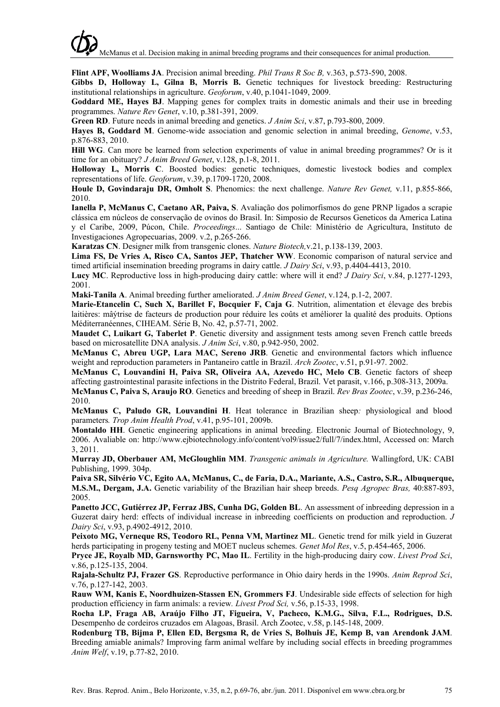**Flint APF, Woolliams JA**. Precision animal breeding. *Phil Trans R Soc B,* v.363, p.573-590, 2008.

**Gibbs D, Holloway L, Gilna B, Morris B.** Genetic techniques for livestock breeding: Restructuring institutional relationships in agriculture. *Geoforum*, v.40, p.1041-1049, 2009.

**Goddard ME, Hayes BJ**. Mapping genes for complex traits in domestic animals and their use in breeding programmes. *Nature Rev Genet*, v.10, p.381-391, 2009.

**Green RD**. Future needs in animal breeding and genetics. *J Anim Sci*, v.87, p.793-800, 2009.

**Hayes B, Goddard M**. Genome-wide association and genomic selection in animal breeding, *Genome*, v.53, p.876-883, 2010.

**Hill WG**. Can more be learned from selection experiments of value in animal breeding programmes? Or is it time for an obituary? *J Anim Breed Genet*, v.128, p.1-8, 2011.

**Holloway L, Morris C**. Boosted bodies: genetic techniques, domestic livestock bodies and complex representations of life. *Geoforum*, v.39, p.1709-1720, 2008.

**Houle D, Govindaraju DR, Omholt S**. Phenomics: the next challenge. *Nature Rev Genet,* v.11, p.855-866, 2010.

**Ianella P, McManus C, Caetano AR, Paiva, S**. Avaliação dos polimorfismos do gene PRNP ligados a scrapie clássica em núcleos de conservação de ovinos do Brasil. In: Simposio de Recursos Geneticos da America Latina y el Caribe, 2009, Púcon, Chile. *Proceedings*... Santiago de Chile: Ministério de Agricultura, Instituto de Investigaciones Agropecuarias, 2009. v.2, p.265-266.

**Karatzas CN**. Designer milk from transgenic clones. *Nature Biotech,*v.21, p.138-139, 2003.

**Lima FS, De Vries A, Risco CA, Santos JEP, Thatcher WW**. Economic comparison of natural service and timed artificial insemination breeding programs in dairy cattle. *J Dairy Sci*, v.93, p.4404-4413, 2010.

**Lucy MC**. Reproductive loss in high-producing dairy cattle: where will it end? *J Dairy Sci*, v.84, p.1277-1293, 2001.

**Maki-Tanila A**. Animal breeding further ameliorated. *J Anim Breed Genet*, v.124, p.1-2, 2007.

**Marie-Etancelin C, Such X, Barillet F, Bocquier F, Caja G**. Nutrition, alimentation et élevage des brebis laitières: mâýtrise de facteurs de production pour réduire les coûts et améliorer la qualité des produits. Options Méditerranéennes, CIHEAM. Série B, No. 42, p.57-71, 2002.

**Maudet C, Luikart G, Taberlet P**. Genetic diversity and assignment tests among seven French cattle breeds based on microsatellite DNA analysis. *J Anim Sci*, v.80, p.942-950, 2002.

**McManus C, Abreu UGP, Lara MAC, Sereno JRB**. Genetic and environmental factors which influence weight and reproduction parameters in Pantaneiro cattle in Brazil. *Arch Zootec*, v.51, p.91-97. 2002.

**McManus C, Louvandini H, Paiva SR, Oliveira AA, Azevedo HC, Melo CB**. Genetic factors of sheep affecting gastrointestinal parasite infections in the Distrito Federal, Brazil. Vet parasit, v.166, p.308-313, 2009a.

**McManus C, Paiva S, Araujo RO**. Genetics and breeding of sheep in Brazil. *Rev Bras Zootec*, v.39, p.236-246, 2010.

**McManus C, Paludo GR, Louvandini H**. Heat tolerance in Brazilian sheep*:* physiological and blood parameters*. Trop Anim Health Prod*, v.41, p.95-101, 2009b.

**Montaldo HH**. Genetic engineering applications in animal breeding. Electronic Journal of Biotechnology, 9, 2006. Avaliable on: http://www.ejbiotechnology.info/content/vol9/issue2/full/7/index.html, Accessed on: March 3, 2011.

**Murray JD, Oberbauer AM, McGloughlin MM**. *Transgenic animals in Agriculture.* Wallingford, UK: CABI Publishing, 1999. 304p.

**Paiva SR, Silvério VC, Egito AA, McManus, C., de Faria, D.A., Mariante, A.S., Castro, S.R., Albuquerque, M.S.M., Dergam, J.A.** Genetic variability of the Brazilian hair sheep breeds. *Pesq Agropec Bras,* 40:887-893, 2005.

Panetto JCC, Gutiérrez JP, Ferraz JBS, Cunha DG, Golden BL. An assessment of inbreeding depression in a Guzerat dairy herd: effects of individual increase in inbreeding coefficients on production and reproduction. *J Dairy Sci*, v.93, p.4902-4912, 2010.

**Peixoto MG, Verneque RS, Teodoro RL, Penna VM, Martinez ML**. Genetic trend for milk yield in Guzerat herds participating in progeny testing and MOET nucleus schemes. *Genet Mol Res*, v.5, p.454-465, 2006.

**Pryce JE, Royalb MD, Garnsworthy PC, Mao IL**. Fertility in the high-producing dairy cow. *Livest Prod Sci*, v.86, p.125-135, 2004.

**Rajala-Schultz PJ, Frazer GS**. Reproductive performance in Ohio dairy herds in the 1990s. *Anim Reprod Sci*, v.76, p.127-142, 2003.

**Rauw WM, Kanis E, Noordhuizen-Stassen EN, Grommers FJ**. Undesirable side effects of selection for high production efficiency in farm animals: a review*. Livest Prod Sci,* v.56, p.15-33, 1998.

**Rocha LP, Fraga AB, Araújo Filho JT, Figueira, V, Pacheco, K.M.G., Silva, F.L., Rodrigues, D.S.**  Desempenho de cordeiros cruzados em Alagoas, Brasil. Arch Zootec, v.58, p.145-148, 2009.

**Rodenburg TB, Bijma P, Ellen ED, Bergsma R, de Vries S, Bolhuis JE, Kemp B, van Arendonk JAM**. Breeding amiable animals? Improving farm animal welfare by including social effects in breeding programmes *Anim Welf*, v.19, p.77-82, 2010.